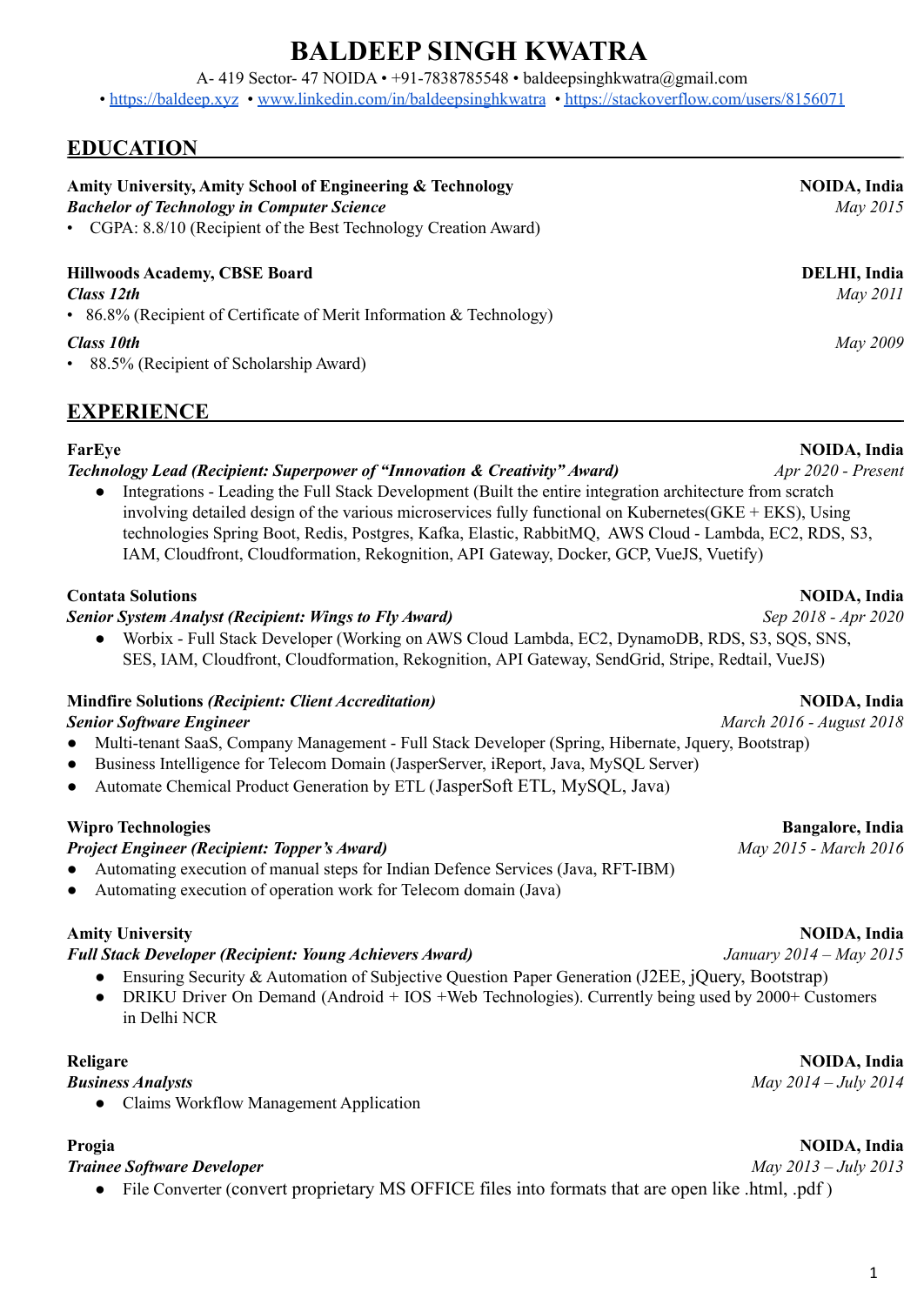# **BALDEEP SINGH KWATRA**

A- 419 Sector- 47 NOIDA • +91-7838785548 • baldeepsinghkwatra@gmail.com

• <https://baldeep.xyz> • [www.linkedin.com/in/baldeepsinghkwatra](http://www.linkedin.com/in/baldeepsinghkwatra) • <https://stackoverflow.com/users/8156071>

## **EDUCATION**

| Amity University, Amity School of Engineering & Technology<br><b>Bachelor of Technology in Computer Science</b><br>• CGPA: 8.8/10 (Recipient of the Best Technology Creation Award) | <b>NOIDA</b> , India<br>May 2015 |
|-------------------------------------------------------------------------------------------------------------------------------------------------------------------------------------|----------------------------------|
| <b>Hillwoods Academy, CBSE Board</b><br>Class 12th<br>• 86.8% (Recipient of Certificate of Merit Information & Technology)                                                          | <b>DELHI</b> , India<br>May 2011 |
| <b>Class 10th</b><br>• 88.5% (Recipient of Scholarship Award)                                                                                                                       | May 2009                         |

### **EXPERIENCE**

### **FarEye NOIDA, India**

### *Technology Lead (Recipient: Superpower of "Innovation & Creativity" Award) Apr 2020 - Present*

Integrations - Leading the Full Stack Development (Built the entire integration architecture from scratch involving detailed design of the various microservices fully functional on Kubernetes(GKE + EKS), Using technologies Spring Boot, Redis, Postgres, Kafka, Elastic, RabbitMQ, AWS Cloud - Lambda, EC2, RDS, S3, IAM, Cloudfront, Cloudformation, Rekognition, API Gateway, Docker, GCP, VueJS, Vuetify)

### **Contata Solutions NOIDA, India**

### *Senior System Analyst (Recipient: Wings to Fly Award) Sep 2018 - Apr 2020*

● Worbix - Full Stack Developer (Working on AWS Cloud Lambda, EC2, DynamoDB, RDS, S3, SQS, SNS, SES, IAM, Cloudfront, Cloudformation, Rekognition, API Gateway, SendGrid, Stripe, Redtail, VueJS)

## **Mindfire Solutions** *(Recipient: Client Accreditation)* **NOIDA, India**

- *Senior Software Engineer March 2016 - August 2018* ● Multi-tenant SaaS, Company Management - Full Stack Developer (Spring, Hibernate, Jquery, Bootstrap)
- Business Intelligence for Telecom Domain (JasperServer, iReport, Java, MySQL Server)
- Automate Chemical Product Generation by ETL (JasperSoft ETL, MySQL, Java)

### **Wipro Technologies Bangalore, India**

### *Project Engineer (Recipient: Topper's Award) May 2015 - March 2016*

- Automating execution of manual steps for Indian Defence Services (Java, RFT-IBM)
- Automating execution of operation work for Telecom domain (Java)

### **Amity University NOIDA, India**

### *Full Stack Developer (Recipient: Young Achievers Award) January 2014 – May 2015*

- Ensuring Security & Automation of Subjective Question Paper Generation (J2EE, jQuery, Bootstrap)
- DRIKU Driver On Demand (Android + IOS +Web Technologies). Currently being used by 2000+ Customers in Delhi NCR

### **Religare NOIDA, India**

*Business Analysts May 2014 – July 2014*

● Claims Workflow Management Application

### *Trainee Software Developer May 2013 – July 2013*

• File Converter (convert proprietary MS OFFICE files into formats that are open like .html, .pdf)

## **Progia NOIDA, India**